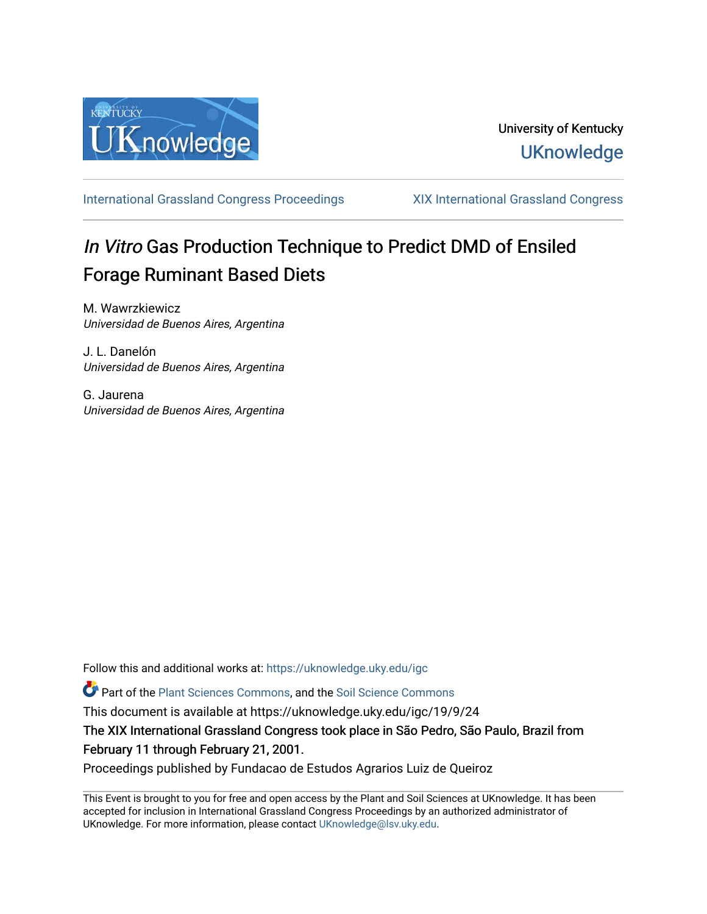

[International Grassland Congress Proceedings](https://uknowledge.uky.edu/igc) [XIX International Grassland Congress](https://uknowledge.uky.edu/igc/19) 

# In Vitro Gas Production Technique to Predict DMD of Ensiled Forage Ruminant Based Diets

M. Wawrzkiewicz Universidad de Buenos Aires, Argentina

J. L. Danelón Universidad de Buenos Aires, Argentina

G. Jaurena Universidad de Buenos Aires, Argentina

Follow this and additional works at: [https://uknowledge.uky.edu/igc](https://uknowledge.uky.edu/igc?utm_source=uknowledge.uky.edu%2Figc%2F19%2F9%2F24&utm_medium=PDF&utm_campaign=PDFCoverPages) 

Part of the [Plant Sciences Commons](http://network.bepress.com/hgg/discipline/102?utm_source=uknowledge.uky.edu%2Figc%2F19%2F9%2F24&utm_medium=PDF&utm_campaign=PDFCoverPages), and the [Soil Science Commons](http://network.bepress.com/hgg/discipline/163?utm_source=uknowledge.uky.edu%2Figc%2F19%2F9%2F24&utm_medium=PDF&utm_campaign=PDFCoverPages) 

This document is available at https://uknowledge.uky.edu/igc/19/9/24

The XIX International Grassland Congress took place in São Pedro, São Paulo, Brazil from February 11 through February 21, 2001.

Proceedings published by Fundacao de Estudos Agrarios Luiz de Queiroz

This Event is brought to you for free and open access by the Plant and Soil Sciences at UKnowledge. It has been accepted for inclusion in International Grassland Congress Proceedings by an authorized administrator of UKnowledge. For more information, please contact [UKnowledge@lsv.uky.edu](mailto:UKnowledge@lsv.uky.edu).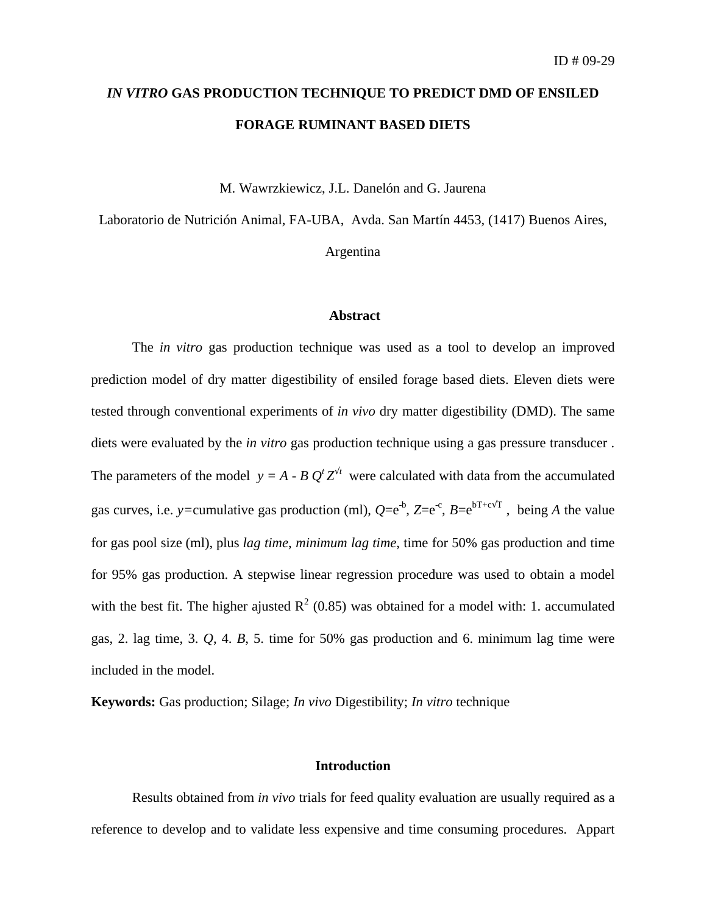## *IN VITRO* **GAS PRODUCTION TECHNIQUE TO PREDICT DMD OF ENSILED FORAGE RUMINANT BASED DIETS**

M. Wawrzkiewicz, J.L. Danelón and G. Jaurena

Laboratorio de Nutrición Animal, FA-UBA, Avda. San Martín 4453, (1417) Buenos Aires,

### Argentina

#### **Abstract**

The *in vitro* gas production technique was used as a tool to develop an improved prediction model of dry matter digestibility of ensiled forage based diets. Eleven diets were tested through conventional experiments of *in vivo* dry matter digestibility (DMD). The same diets were evaluated by the *in vitro* gas production technique using a gas pressure transducer . The parameters of the model  $y = A - B Q^t Z^{\frac{1}{t}}$  were calculated with data from the accumulated gas curves, i.e. *y*=cumulative gas production (ml),  $Q=e^{-b}$ ,  $Z=e^{-c}$ ,  $B=e^{bT+c\sqrt{T}}$ , being *A* the value for gas pool size (ml), plus *lag time*, *minimum lag time*, time for 50% gas production and time for 95% gas production. A stepwise linear regression procedure was used to obtain a model with the best fit. The higher ajusted  $R^2$  (0.85) was obtained for a model with: 1. accumulated gas, 2. lag time, 3. *Q*, 4. *B*, 5. time for 50% gas production and 6. minimum lag time were included in the model.

**Keywords:** Gas production; Silage; *In vivo* Digestibility; *In vitro* technique

#### **Introduction**

Results obtained from *in vivo* trials for feed quality evaluation are usually required as a reference to develop and to validate less expensive and time consuming procedures. Appart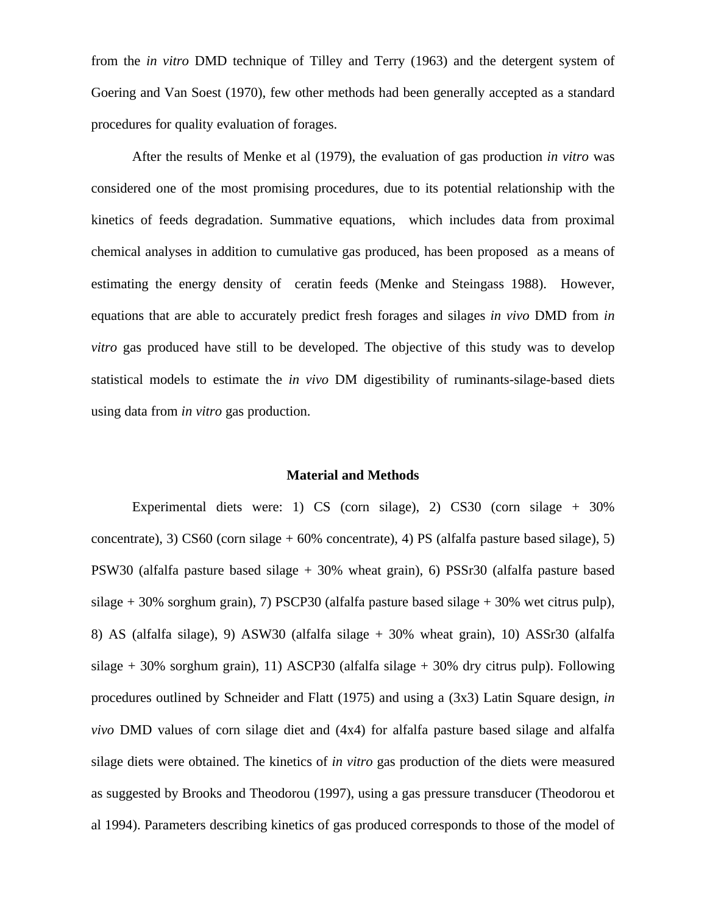from the *in vitro* DMD technique of Tilley and Terry (1963) and the detergent system of Goering and Van Soest (1970), few other methods had been generally accepted as a standard procedures for quality evaluation of forages.

After the results of Menke et al (1979), the evaluation of gas production *in vitro* was considered one of the most promising procedures, due to its potential relationship with the kinetics of feeds degradation. Summative equations, which includes data from proximal chemical analyses in addition to cumulative gas produced, has been proposed as a means of estimating the energy density of ceratin feeds (Menke and Steingass 1988). However, equations that are able to accurately predict fresh forages and silages *in vivo* DMD from *in vitro* gas produced have still to be developed. The objective of this study was to develop statistical models to estimate the *in vivo* DM digestibility of ruminants-silage-based diets using data from *in vitro* gas production.

#### **Material and Methods**

Experimental diets were: 1) CS (corn silage), 2) CS30 (corn silage + 30% concentrate), 3) CS60 (corn silage  $+60\%$  concentrate), 4) PS (alfalfa pasture based silage), 5) PSW30 (alfalfa pasture based silage + 30% wheat grain), 6) PSSr30 (alfalfa pasture based silage  $+30\%$  sorghum grain), 7) PSCP30 (alfalfa pasture based silage  $+30\%$  wet citrus pulp), 8) AS (alfalfa silage), 9) ASW30 (alfalfa silage + 30% wheat grain), 10) ASSr30 (alfalfa silage  $+30\%$  sorghum grain), 11) ASCP30 (alfalfa silage  $+30\%$  dry citrus pulp). Following procedures outlined by Schneider and Flatt (1975) and using a (3x3) Latin Square design, *in vivo* DMD values of corn silage diet and (4x4) for alfalfa pasture based silage and alfalfa silage diets were obtained. The kinetics of *in vitro* gas production of the diets were measured as suggested by Brooks and Theodorou (1997), using a gas pressure transducer (Theodorou et al 1994). Parameters describing kinetics of gas produced corresponds to those of the model of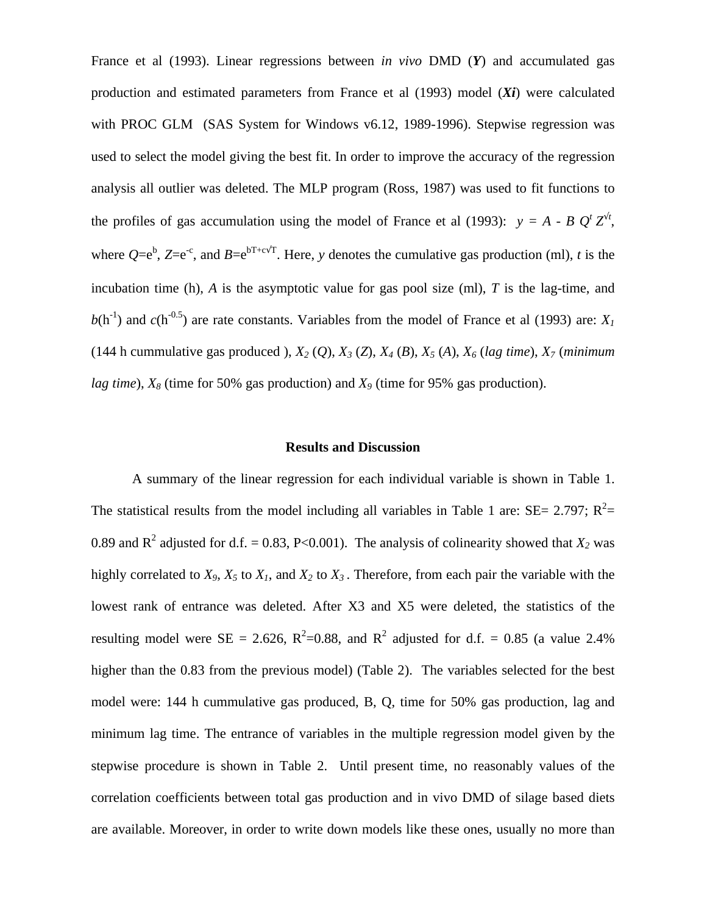France et al (1993). Linear regressions between *in vivo* DMD (*Y*) and accumulated gas production and estimated parameters from France et al (1993) model (*Xi*) were calculated with PROC GLM (SAS System for Windows v6.12, 1989-1996). Stepwise regression was used to select the model giving the best fit. In order to improve the accuracy of the regression analysis all outlier was deleted. The MLP program (Ross, 1987) was used to fit functions to the profiles of gas accumulation using the model of France et al (1993):  $y = A - B Q^t Z^{\frac{1}{t}}$ , where  $Q=e^b$ ,  $Z=e^{-c}$ , and  $B=e^{bT+c\sqrt{T}}$ . Here, *y* denotes the cumulative gas production (ml), *t* is the incubation time (h), *A* is the asymptotic value for gas pool size (ml), *T* is the lag-time, and  $b(h^{-1})$  and  $c(h^{-0.5})$  are rate constants. Variables from the model of France et al (1993) are: *X<sub>1</sub>* (144 h cummulative gas produced ), *X2* (*Q*), *X3* (*Z*), *X4* (*B*), *X5* (*A*), *X6* (*lag time*), *X<sup>7</sup>* (*minimum lag time*), *X8* (time for 50% gas production) and *X9* (time for 95% gas production).

#### **Results and Discussion**

A summary of the linear regression for each individual variable is shown in Table 1. The statistical results from the model including all variables in Table 1 are: SE= 2.797;  $R^2$ = 0.89 and  $R^2$  adjusted for d.f. = 0.83, P<0.001). The analysis of colinearity showed that  $X_2$  was highly correlated to  $X_9$ ,  $X_5$  to  $X_1$ , and  $X_2$  to  $X_3$ . Therefore, from each pair the variable with the lowest rank of entrance was deleted. After X3 and X5 were deleted, the statistics of the resulting model were SE = 2.626,  $R^2$ =0.88, and  $R^2$  adjusted for d.f. = 0.85 (a value 2.4% higher than the 0.83 from the previous model) (Table 2). The variables selected for the best model were: 144 h cummulative gas produced, B, Q, time for 50% gas production, lag and minimum lag time. The entrance of variables in the multiple regression model given by the stepwise procedure is shown in Table 2. Until present time, no reasonably values of the correlation coefficients between total gas production and in vivo DMD of silage based diets are available. Moreover, in order to write down models like these ones, usually no more than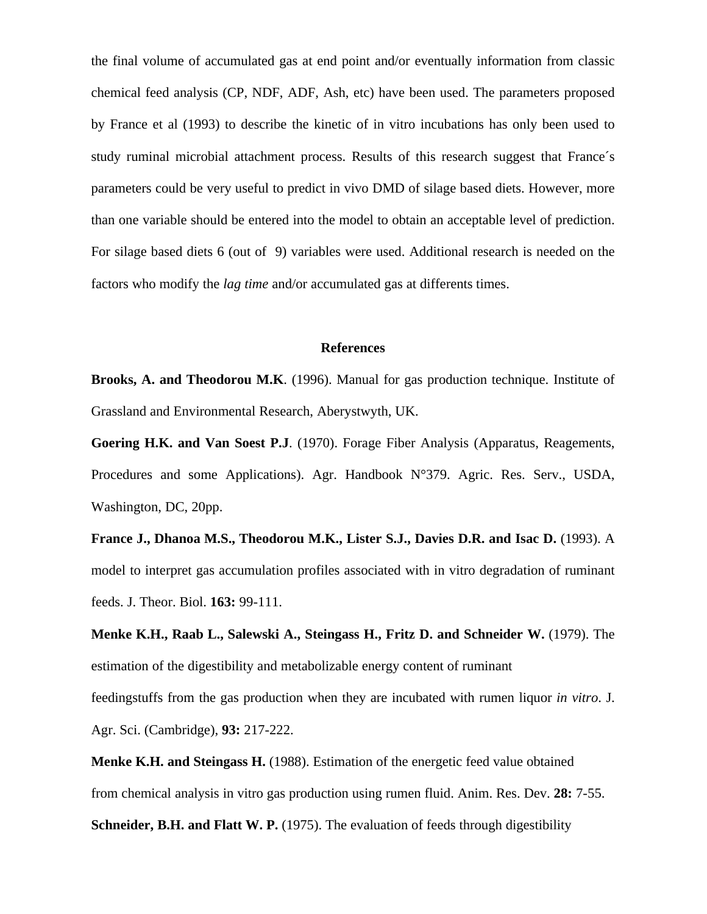the final volume of accumulated gas at end point and/or eventually information from classic chemical feed analysis (CP, NDF, ADF, Ash, etc) have been used. The parameters proposed by France et al (1993) to describe the kinetic of in vitro incubations has only been used to study ruminal microbial attachment process. Results of this research suggest that France´s parameters could be very useful to predict in vivo DMD of silage based diets. However, more than one variable should be entered into the model to obtain an acceptable level of prediction. For silage based diets 6 (out of 9) variables were used. Additional research is needed on the factors who modify the *lag time* and/or accumulated gas at differents times.

#### **References**

**Brooks, A. and Theodorou M.K**. (1996). Manual for gas production technique. Institute of Grassland and Environmental Research, Aberystwyth, UK.

**Goering H.K. and Van Soest P.J**. (1970). Forage Fiber Analysis (Apparatus, Reagements, Procedures and some Applications). Agr. Handbook N°379. Agric. Res. Serv., USDA, Washington, DC, 20pp.

**France J., Dhanoa M.S., Theodorou M.K., Lister S.J., Davies D.R. and Isac D.** (1993). A model to interpret gas accumulation profiles associated with in vitro degradation of ruminant feeds. J. Theor. Biol. **163:** 99-111.

**Menke K.H., Raab L., Salewski A., Steingass H., Fritz D. and Schneider W.** (1979). The estimation of the digestibility and metabolizable energy content of ruminant feedingstuffs from the gas production when they are incubated with rumen liquor *in vitro*. J. Agr. Sci. (Cambridge), **93:** 217-222.

**Menke K.H. and Steingass H.** (1988). Estimation of the energetic feed value obtained from chemical analysis in vitro gas production using rumen fluid. Anim. Res. Dev. **28:** 7-55.

**Schneider, B.H. and Flatt W. P.** (1975). The evaluation of feeds through digestibility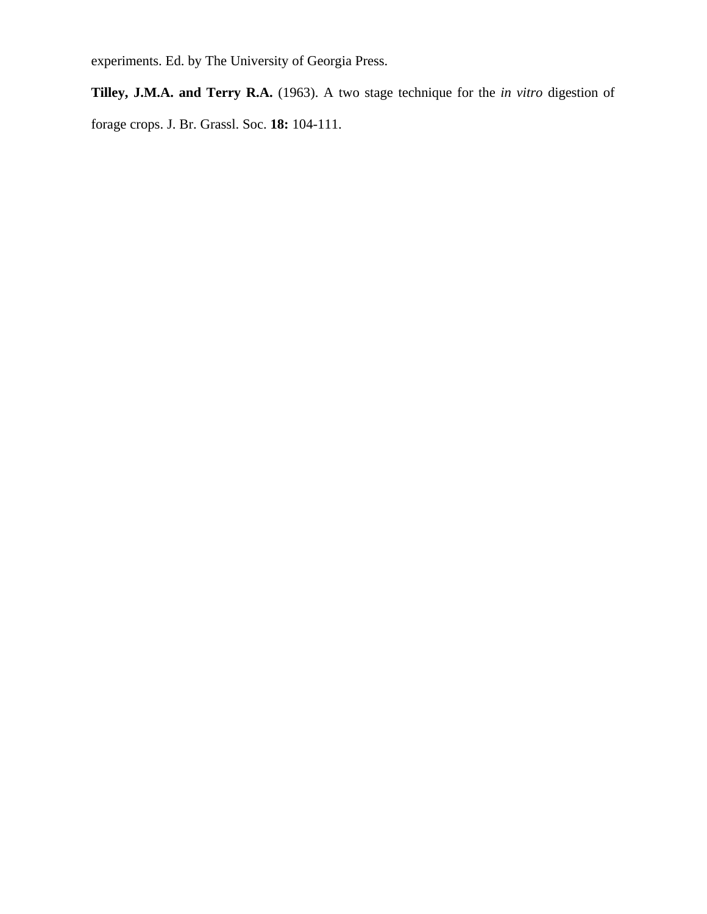experiments. Ed. by The University of Georgia Press.

**Tilley, J.M.A. and Terry R.A.** (1963). A two stage technique for the *in vitro* digestion of forage crops. J. Br. Grassl. Soc. **18:** 104-111.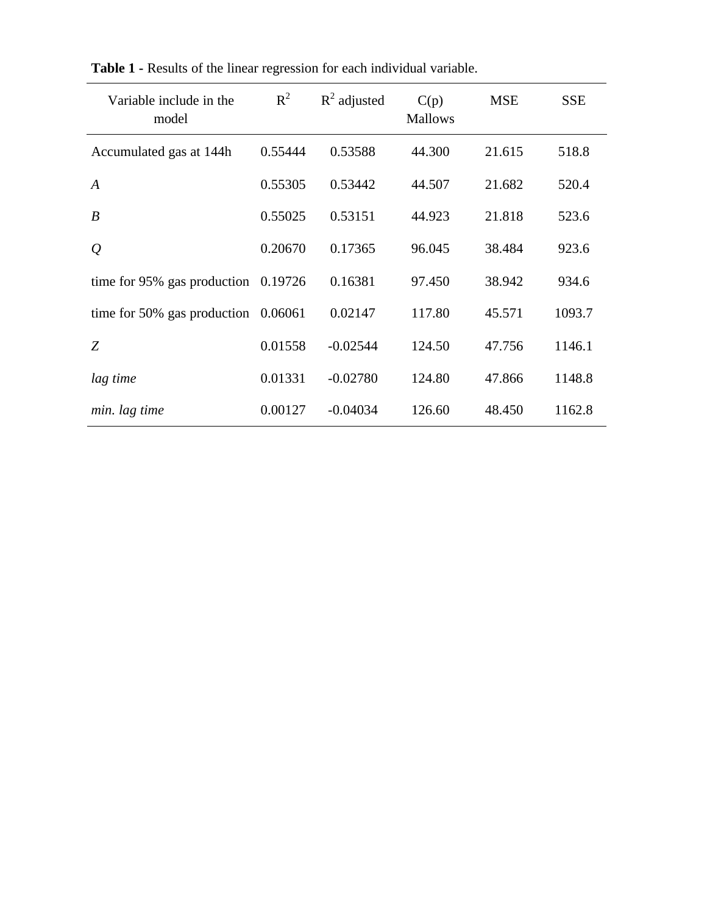| Variable include in the<br>model | $R^2$   | $R^2$ adjusted | C(p)<br><b>Mallows</b> | <b>MSE</b> | <b>SSE</b> |
|----------------------------------|---------|----------------|------------------------|------------|------------|
| Accumulated gas at 144h          | 0.55444 | 0.53588        | 44.300                 | 21.615     | 518.8      |
| $\boldsymbol{A}$                 | 0.55305 | 0.53442        | 44.507                 | 21.682     | 520.4      |
| $\boldsymbol{B}$                 | 0.55025 | 0.53151        | 44.923                 | 21.818     | 523.6      |
| $\mathcal{Q}$                    | 0.20670 | 0.17365        | 96.045                 | 38.484     | 923.6      |
| time for 95% gas production      | 0.19726 | 0.16381        | 97.450                 | 38.942     | 934.6      |
| time for 50% gas production      | 0.06061 | 0.02147        | 117.80                 | 45.571     | 1093.7     |
| Z                                | 0.01558 | $-0.02544$     | 124.50                 | 47.756     | 1146.1     |
| lag time                         | 0.01331 | $-0.02780$     | 124.80                 | 47.866     | 1148.8     |
| min. lag time                    | 0.00127 | $-0.04034$     | 126.60                 | 48.450     | 1162.8     |

**Table 1 -** Results of the linear regression for each individual variable.